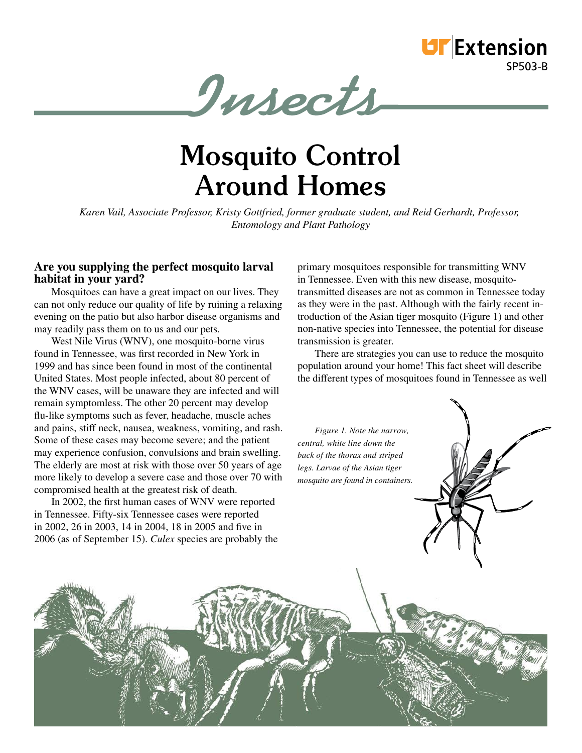

Insects

# **Mosquito Control Around Homes**

*Karen Vail, Associate Professor, Kristy Gottfried, former graduate student, and Reid Gerhardt, Professor, Entomology and Plant Pathology*

## **Are you supplying the perfect mosquito larval habitat in your yard?**

Mosquitoes can have a great impact on our lives. They can not only reduce our quality of life by ruining a relaxing evening on the patio but also harbor disease organisms and may readily pass them on to us and our pets.

West Nile Virus (WNV), one mosquito-borne virus found in Tennessee, was first recorded in New York in 1999 and has since been found in most of the continental United States. Most people infected, about 80 percent of the WNV cases, will be unaware they are infected and will remain symptomless. The other 20 percent may develop flu-like symptoms such as fever, headache, muscle aches and pains, stiff neck, nausea, weakness, vomiting, and rash. Some of these cases may become severe; and the patient may experience confusion, convulsions and brain swelling. The elderly are most at risk with those over 50 years of age more likely to develop a severe case and those over 70 with compromised health at the greatest risk of death.

In 2002, the first human cases of WNV were reported in Tennessee. Fifty-six Tennessee cases were reported in 2002, 26 in 2003, 14 in 2004, 18 in 2005 and five in 2006 (as of September 15). *Culex* species are probably the primary mosquitoes responsible for transmitting WNV in Tennessee. Even with this new disease, mosquitotransmitted diseases are not as common in Tennessee today as they were in the past. Although with the fairly recent introduction of the Asian tiger mosquito (Figure 1) and other non-native species into Tennessee, the potential for disease transmission is greater.

There are strategies you can use to reduce the mosquito population around your home! This fact sheet will describe the different types of mosquitoes found in Tennessee as well

*Figure 1. Note the narrow, central, white line down the back of the thorax and striped legs. Larvae of the Asian tiger mosquito are found in containers.*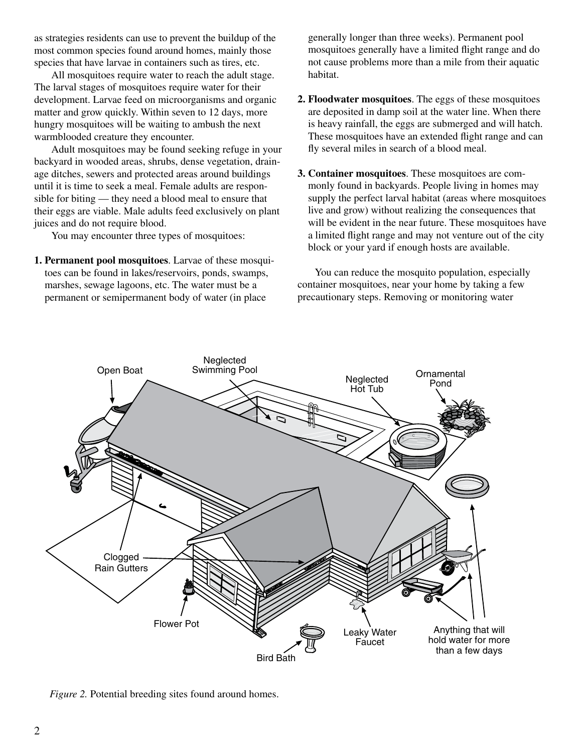as strategies residents can use to prevent the buildup of the most common species found around homes, mainly those species that have larvae in containers such as tires, etc.

All mosquitoes require water to reach the adult stage. The larval stages of mosquitoes require water for their development. Larvae feed on microorganisms and organic matter and grow quickly. Within seven to 12 days, more hungry mosquitoes will be waiting to ambush the next warmblooded creature they encounter.

Adult mosquitoes may be found seeking refuge in your backyard in wooded areas, shrubs, dense vegetation, drainage ditches, sewers and protected areas around buildings until it is time to seek a meal. Female adults are responsible for biting — they need a blood meal to ensure that their eggs are viable. Male adults feed exclusively on plant juices and do not require blood.

You may encounter three types of mosquitoes:

**1. Permanent pool mosquitoes**. Larvae of these mosquitoes can be found in lakes/reservoirs, ponds, swamps, marshes, sewage lagoons, etc. The water must be a permanent or semipermanent body of water (in place

generally longer than three weeks). Permanent pool mosquitoes generally have a limited flight range and do not cause problems more than a mile from their aquatic habitat.

- **2. Floodwater mosquitoes**. The eggs of these mosquitoes are deposited in damp soil at the water line. When there is heavy rainfall, the eggs are submerged and will hatch. These mosquitoes have an extended flight range and can fly several miles in search of a blood meal.
- **3. Container mosquitoes**. These mosquitoes are commonly found in backyards. People living in homes may supply the perfect larval habitat (areas where mosquitoes live and grow) without realizing the consequences that will be evident in the near future. These mosquitoes have a limited flight range and may not venture out of the city block or your yard if enough hosts are available.

You can reduce the mosquito population, especially container mosquitoes, near your home by taking a few precautionary steps. Removing or monitoring water



*Figure 2.* Potential breeding sites found around homes.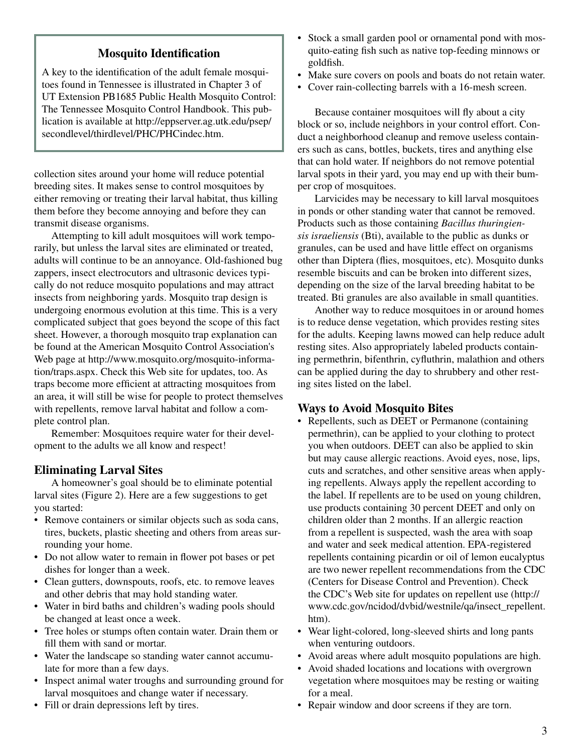# **Mosquito Identification**

A key to the identification of the adult female mosquitoes found in Tennessee is illustrated in Chapter 3 of UT Extension PB1685 Public Health Mosquito Control: The Tennessee Mosquito Control Handbook. This publication is available at http://eppserver.ag.utk.edu/psep/ secondlevel/thirdlevel/PHC/PHCindec.htm.

collection sites around your home will reduce potential breeding sites. It makes sense to control mosquitoes by either removing or treating their larval habitat, thus killing them before they become annoying and before they can transmit disease organisms.

Attempting to kill adult mosquitoes will work temporarily, but unless the larval sites are eliminated or treated, adults will continue to be an annoyance. Old-fashioned bug zappers, insect electrocutors and ultrasonic devices typically do not reduce mosquito populations and may attract insects from neighboring yards. Mosquito trap design is undergoing enormous evolution at this time. This is a very complicated subject that goes beyond the scope of this fact sheet. However, a thorough mosquito trap explanation can be found at the American Mosquito Control Association's Web page at http://www.mosquito.org/mosquito-information/traps.aspx. Check this Web site for updates, too. As traps become more efficient at attracting mosquitoes from an area, it will still be wise for people to protect themselves with repellents, remove larval habitat and follow a complete control plan.

Remember: Mosquitoes require water for their development to the adults we all know and respect!

## **Eliminating Larval Sites**

A homeowner's goal should be to eliminate potential larval sites (Figure 2). Here are a few suggestions to get you started:

- Remove containers or similar objects such as soda cans, tires, buckets, plastic sheeting and others from areas surrounding your home.
- Do not allow water to remain in flower pot bases or pet dishes for longer than a week.
- Clean gutters, downspouts, roofs, etc. to remove leaves and other debris that may hold standing water.
- Water in bird baths and children's wading pools should be changed at least once a week.
- Tree holes or stumps often contain water. Drain them or fill them with sand or mortar.
- Water the landscape so standing water cannot accumulate for more than a few days.
- Inspect animal water troughs and surrounding ground for larval mosquitoes and change water if necessary.
- Fill or drain depressions left by tires.
- Stock a small garden pool or ornamental pond with mosquito-eating fish such as native top-feeding minnows or goldfish.
- Make sure covers on pools and boats do not retain water.
- Cover rain-collecting barrels with a 16-mesh screen.

Because container mosquitoes will fly about a city block or so, include neighbors in your control effort. Conduct a neighborhood cleanup and remove useless containers such as cans, bottles, buckets, tires and anything else that can hold water. If neighbors do not remove potential larval spots in their yard, you may end up with their bumper crop of mosquitoes.

Larvicides may be necessary to kill larval mosquitoes in ponds or other standing water that cannot be removed. Products such as those containing *Bacillus thuringiensis israeliensis* (Bti), available to the public as dunks or granules, can be used and have little effect on organisms other than Diptera (flies, mosquitoes, etc). Mosquito dunks resemble biscuits and can be broken into different sizes, depending on the size of the larval breeding habitat to be treated. Bti granules are also available in small quantities.

Another way to reduce mosquitoes in or around homes is to reduce dense vegetation, which provides resting sites for the adults. Keeping lawns mowed can help reduce adult resting sites. Also appropriately labeled products containing permethrin, bifenthrin, cyfluthrin, malathion and others can be applied during the day to shrubbery and other resting sites listed on the label.

#### **Ways to Avoid Mosquito Bites**

- Repellents, such as DEET or Permanone (containing) permethrin), can be applied to your clothing to protect you when outdoors. DEET can also be applied to skin but may cause allergic reactions. Avoid eyes, nose, lips, cuts and scratches, and other sensitive areas when applying repellents. Always apply the repellent according to the label. If repellents are to be used on young children, use products containing 30 percent DEET and only on children older than 2 months. If an allergic reaction from a repellent is suspected, wash the area with soap and water and seek medical attention. EPA-registered repellents containing picardin or oil of lemon eucalyptus are two newer repellent recommendations from the CDC (Centers for Disease Control and Prevention). Check the CDC's Web site for updates on repellent use (http:// www.cdc.gov/ncidod/dvbid/westnile/qa/insect\_repellent. htm).
- Wear light-colored, long-sleeved shirts and long pants when venturing outdoors.
- Avoid areas where adult mosquito populations are high.
- Avoid shaded locations and locations with overgrown vegetation where mosquitoes may be resting or waiting for a meal.
- Repair window and door screens if they are torn.